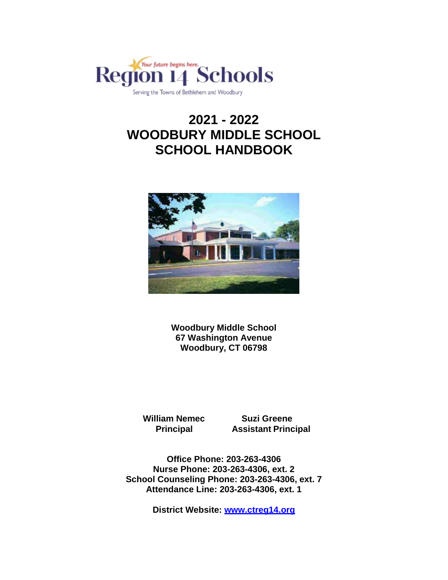

# **2021 - 2022 WOODBURY MIDDLE SCHOOL SCHOOL HANDBOOK**



**Woodbury Middle School 67 Washington Avenue Woodbury, CT 06798**

**William Nemec Suzi Greene** 

**Principal Assistant Principal**

**Office Phone: 203-263-4306 Nurse Phone: 203-263-4306, ext. 2 School Counseling Phone: 203-263-4306, ext. 7 Attendance Line: 203-263-4306, ext. 1** 

**District Website: [www.ctreg14.org](http://www.ctreg14.org/)**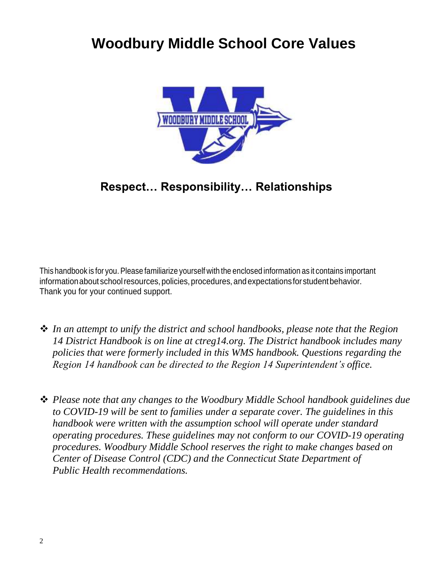# **Woodbury Middle School Core Values**



# **Respect… Responsibility… Relationships**

This handbook is for you. Please familiarize yourself with the enclosed information as it contains important information about school resources, policies, procedures, and expectations for student behavior. Thank you for your continued support.

- *In an attempt to unify the district and school handbooks, please note that the Region 14 District Handbook is on line at ctreg14.org. The District handbook includes many policies that were formerly included in this WMS handbook. Questions regarding the Region 14 handbook can be directed to the Region 14 Superintendent's office.*
- *Please note that any changes to the Woodbury Middle School handbook guidelines due to COVID-19 will be sent to families under a separate cover. The guidelines in this handbook were written with the assumption school will operate under standard operating procedures. These guidelines may not conform to our COVID-19 operating procedures. Woodbury Middle School reserves the right to make changes based on Center of Disease Control (CDC) and the Connecticut State Department of Public Health recommendations.*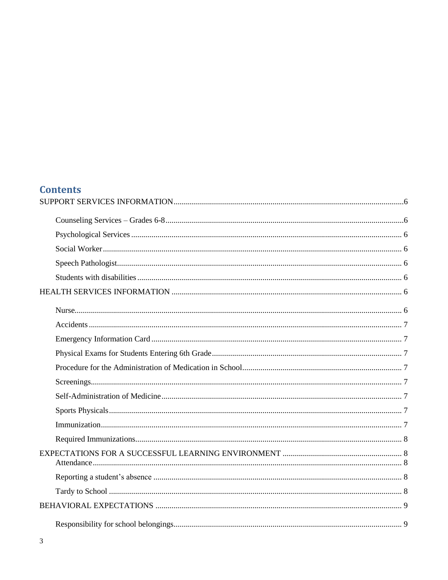# **Contents**

| Responsibility for school belongings | $\mathbf Q$ |  |
|--------------------------------------|-------------|--|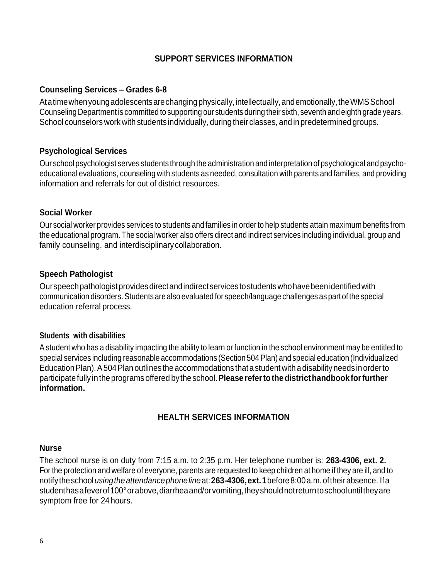#### **SUPPORT SERVICES INFORMATION**

#### <span id="page-5-1"></span><span id="page-5-0"></span>**Counseling Services – Grades 6-8**

Atatimewhenyoungadolescentsarechangingphysically,intellectually,andemotionally,theWMSSchool Counseling Department is committed to supporting our students during their sixth, seventh and eighth grade years. School counselors work with students individually, during their classes, and in predetermined groups.

#### <span id="page-5-2"></span>**Psychological Services**

Our school psychologist serves students through the administration and interpretation ofpsychological and psychoeducational evaluations, counseling with students as needed, consultation with parents and families, and providing information and referrals for out of district resources.

#### <span id="page-5-3"></span>**Social Worker**

Our social worker provides services to students and families in order to help students attain maximum benefits from the educational program. The social worker also offers direct and indirect services including individual, group and family counseling, and interdisciplinarycollaboration.

#### <span id="page-5-4"></span>**Speech Pathologist**

Ourspeechpathologistprovidesdirectandindirectservicestostudentswhohavebeenidentifiedwith communication disorders.Students are also evaluated for speech/language challenges as partof the special education referral process.

#### <span id="page-5-5"></span>**Students with disabilities**

A student who has a disability impacting the ability to learn or function in the school environment may be entitled to special services including reasonable accommodations (Section 504 Plan) and special education (Individualized EducationPlan).A504Plan outlines the accommodations thata student witha disabilityneeds inorderto participate fully intheprograms offered bythe school.**Please refertothedistricthandbookforfurther information.**

#### **HEALTH SERVICES INFORMATION**

#### <span id="page-5-7"></span><span id="page-5-6"></span>**Nurse**

The school nurse is on duty from 7:15 a.m. to 2:35 p.m. Her telephone number is: **263-4306, ext. 2.** For the protection and welfare of everyone, parents are requested to keep children at home if they are ill, and to notifytheschool*usingtheattendancephoneline*at:**263-4306,ext.1**before8:00a.m.oftheirabsence. Ifa studenthasafeverof100°orabove,diarrheaand/orvomiting,theyshouldnotreturntoschooluntiltheyare symptom free for 24 hours.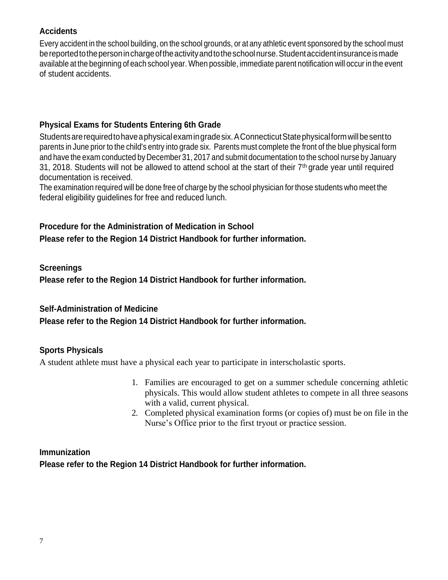#### <span id="page-6-0"></span>**Accidents**

Every accident in the school building, on the school grounds, or at any athletic event sponsored by the school must bereportedtothepersoninchargeoftheactivityandtotheschoolnurse.Studentaccidentinsuranceismade available at the beginning of each school year. When possible, immediate parent notification will occur in the event of student accidents.

#### <span id="page-6-2"></span><span id="page-6-1"></span>**Physical Exams for Students Entering 6th Grade**

Studentsarerequiredtohaveaphysicalexamingradesix.AConnecticutStatephysicalformwillbesentto parents in June prior to the child's entry into grade six. Parents must complete the front of the blue physical form and have the exam conducted by December 31, 2017 and submit documentation to the school nurse by January 31, 2018. Students will not be allowed to attend school at the start of their  $7<sup>th</sup>$  grade year until required documentation is received.

The examination required will be done free of charge by the school physician for those students who meet the federal eligibility guidelines for free and reduced lunch.

# <span id="page-6-3"></span>**Procedure for the Administration of Medication in School**

**Please refer to the Region 14 District Handbook for further information.**

#### <span id="page-6-4"></span>**Screenings**

**Please refer to the Region 14 District Handbook for further information.**

#### <span id="page-6-5"></span>**Self-Administration of Medicine**

**Please refer to the Region 14 District Handbook for further information.**

#### <span id="page-6-6"></span>**Sports Physicals**

A student athlete must have a physical each year to participate in interscholastic sports.

- 1. Families are encouraged to get on a summer schedule concerning athletic physicals. This would allow student athletes to compete in all three seasons with a valid, current physical.
- 2. Completed physical examination forms (or copies of) must be on file in the Nurse's Office prior to the first tryout or practice session.

#### <span id="page-6-7"></span>**Immunization**

**Please refer to the Region 14 District Handbook for further information.**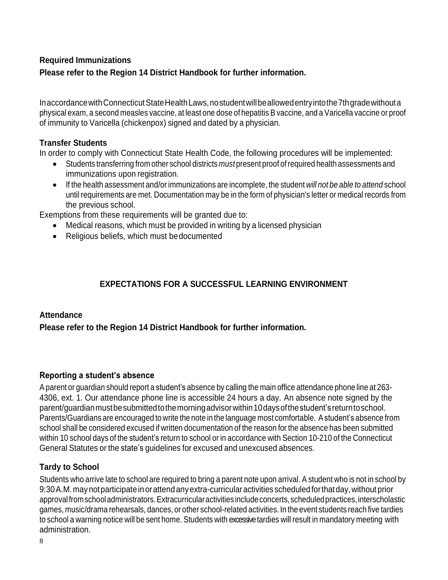# <span id="page-7-0"></span>**Required Immunizations Please refer to the Region 14 District Handbook for further information.**

In accordance with Connecticut State Health Laws, no student will be allowed entry into the 7th grade without a physical exam, a second measles vaccine, at least one dose of hepatitis B vaccine, and a Varicella vaccine or proof of immunity to Varicella (chickenpox) signed and dated by a physician.

#### **Transfer Students**

In order to comply with Connecticut State Health Code, the following procedures will be implemented:

- Students transferring from other school districts *must* present proof ofrequired health assessments and immunizations upon registration.
- If the health assessment and/or immunizations are incomplete, the student *will not be able to attend* school until requirements are met. Documentation may be in the form of physician's letter or medical records from the previous school.

Exemptions from these requirements will be granted due to:

- Medical reasons, which must be provided in writing by a licensed physician
- Religious beliefs, which must be documented

#### **EXPECTATIONS FOR A SUCCESSFUL LEARNING ENVIRONMENT**

#### <span id="page-7-2"></span><span id="page-7-1"></span>**Attendance**

**Please refer to the Region 14 District Handbook for further information.**

#### <span id="page-7-3"></span>**Reporting a student's absence**

A parent or guardian should report a student's absence by calling the main office attendance phone line at 263- 4306, ext. 1. Our attendance phone line is accessible 24 hours a day. An absence note signed by the parent/guardianmustbesubmittedtothemorningadvisorwithin10daysofthestudent'sreturntoschool. Parents/Guardians are encouraged to write the note in the language most comfortable. Astudent's absence from school shall be considered excused if written documentation of the reason for the absence has been submitted within 10 school days of the student's return to school or in accordance with Section 10-210 of the Connecticut General Statutes or the state's guidelines for excused and unexcused absences.

#### <span id="page-7-4"></span>**Tardy to School**

Students who arrive late to school are required to bring a parent note upon arrival. A student who is not in school by 9:30A.M. maynotparticipateinorattendanyextra-curricularactivities scheduledforthatday,without prior approvalfromschooladministrators.Extracurricularactivitiesincludeconcerts,scheduledpractices,interscholastic games, music/drama rehearsals, dances, or other school-related activities. In the event students reach five tardies to school a warning notice will be sent home. Students with excessive tardies will result in mandatory meeting with administration.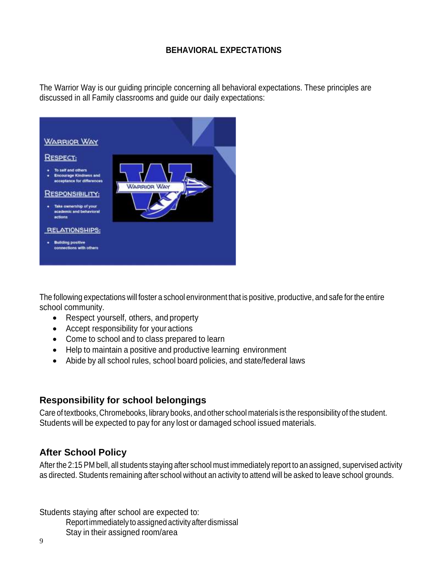#### **BEHAVIORAL EXPECTATIONS**

<span id="page-8-0"></span>The Warrior Way is our guiding principle concerning all behavioral expectations. These principles are discussed in all Family classrooms and guide our daily expectations:



The following expectations will foster a school environment that is positive, productive, and safe for the entire school community.

- Respect yourself, others, and property
- Accept responsibility for your actions
- Come to school and to class prepared to learn
- Help to maintain a positive and productive learning environment
- Abide by all school rules, school board policies, and state/federal laws

#### <span id="page-8-1"></span>**Responsibility for school belongings**

Care of textbooks, Chromebooks, library books, and other school materials is the responsibility of the student. Students will be expected to pay for any lost or damaged school issued materials.

## <span id="page-8-2"></span>**After School Policy**

After the 2:15 PM bell, all students staying after school must immediately report to an assigned, supervised activity as directed. Students remaining after school without an activity to attend will be asked to leave school grounds.

Students staying after school are expected to:

Reportimmediately to assignedactivityafterdismissal

Stay in their assigned room/area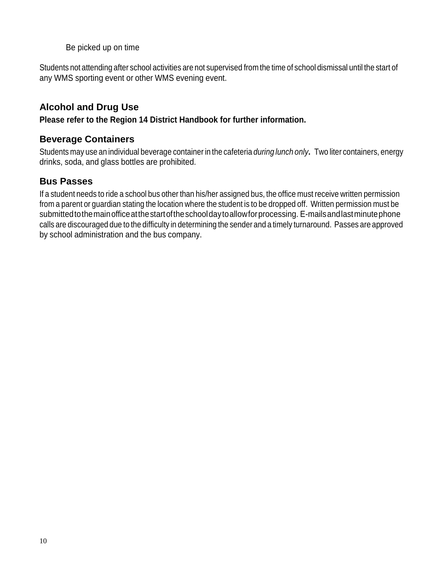<span id="page-9-2"></span>Be picked up on time

Students not attending after school activities are not supervised from the time of school dismissal until the start of any WMS sporting event or other WMS evening event.

# <span id="page-9-0"></span>**Alcohol and Drug Use**

**Please refer to the Region 14 District Handbook for further information.**

# <span id="page-9-1"></span>**Beverage Containers**

Students may use an individual beverage container in the cafeteria *during lunch only***.** Two liter containers, energy drinks, soda, and glass bottles are prohibited.

# **Bus Passes**

If a student needs to ride a school bus other than his/her assigned bus, the office must receive written permission from a parent or guardian stating the location where the student is to be dropped off. Written permission must be submittedtothemainofficeatthestartoftheschooldaytoallowforprocessing. E-mailsandlastminutephone calls are discouraged due to the difficulty in determining the sender and a timely turnaround. Passes are approved by school administration and the bus company.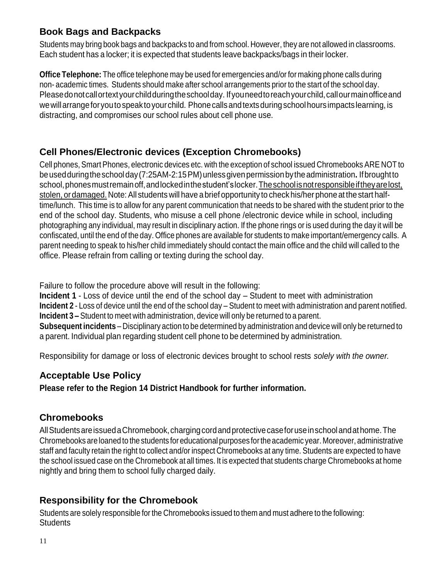# <span id="page-10-0"></span>**Book Bags and Backpacks**

Students may bring book bags and backpacks to and from school. However, they are not allowed in classrooms. Each student has a locker; it is expected that students leave backpacks/bags in their locker.

**Office Telephone:** The office telephone may be used for emergencies and/or for making phone calls during non- academic times. Students should make after school arrangements prior to the start of the school day. Pleasedonotcallortextyourchildduringtheschoolday. Ifyouneedtoreachyourchild,callourmainofficeand wewillarrangeforyoutospeaktoyourchild. Phonecallsandtextsduring schoolhours impactslearning, is distracting, and compromises our school rules about cell phone use.

# <span id="page-10-1"></span>**Cell Phones/Electronic devices (Exception Chromebooks)**

Cell phones, Smart Phones, electronic devices etc. with the exception of school issued Chromebooks ARE NOT to beusedduringtheschoolday(7:25AM-2:15PM)unlessgivenpermissionbytheadministration**.** Ifbroughtto school, phones must remain off, and locked in the student's locker. The school is not responsible if they are lost, stolen, or damaged. Note: All students will have a brief opportunity to check his/her phone at the start halftime/lunch. This time is to allow for any parent communication that needs to be shared with the student prior to the end of the school day. Students, who misuse a cell phone /electronic device while in school, including photographing any individual, may result in disciplinary action. If the phone rings or is used during the day it will be confiscated, until the end of the day. Office phones are available for students to make important/emergency calls. A parent needing to speak to his/her child immediately should contact the main office and the child will called to the office. Please refrain from calling or texting during the school day.

Failure to follow the procedure above will result in the following:

**Incident 1** - Loss of device until the end of the school day – Student to meet with administration **Incident 2** - Loss of device until the end of the school day – Student to meet with administration and parent notified. **Incident 3 –** Student to meet with administration, device will only be returned to a parent. **Subsequent incidents** – Disciplinary action to be determined by administration and device will only be returned to

a parent. Individual plan regarding student cell phone to be determined by administration.

Responsibility for damage or loss of electronic devices brought to school rests *solely with the owner.*

#### <span id="page-10-2"></span>**Acceptable Use Policy**

**Please refer to the Region 14 District Handbook for further information.**

## <span id="page-10-3"></span>**Chromebooks**

AllStudentsareissuedaChromebook, chargingcordandprotectivecaseforuseinschoolandathome.The Chromebooks are loaned to the students for educational purposes fortheacademic year. Moreover, administrative staff and faculty retain the right to collect and/or inspect Chromebooks at any time. Students are expected to have the school issued case on the Chromebook at all times. It is expected that students charge Chromebooks at home nightly and bring them to school fully charged daily.

# <span id="page-10-4"></span>**Responsibility for the Chromebook**

Students are solely responsible for the Chromebooks issued to them and must adhere to the following: **Students**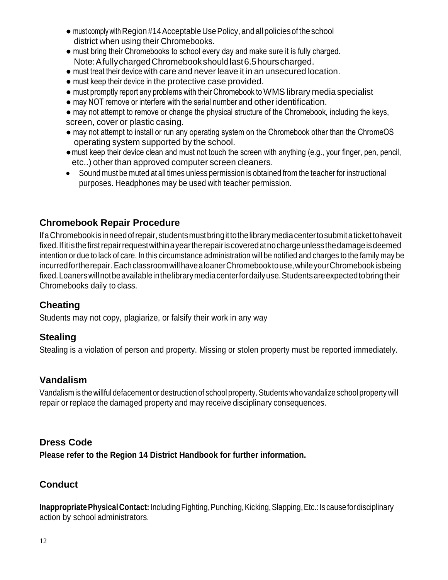- must comply with Region #14 Acceptable Use Policy, and all policies of the school district when using their Chromebooks.
- must bring their Chromebooks to school every day and make sure it is fully charged. Note:AfullychargedChromebookshouldlast6.5hourscharged.
- must treat their device with care and neverleave it in an unsecured location.
- must keep their device in the protective case provided.
- must promptly report any problems with their Chromebook to WMS library media specialist
- may NOT remove or interfere with the serial number and other identification.
- may not attempt to remove or change the physical structure of the Chromebook, including the keys, screen, cover or plastic casing.
- may not attempt to install or run any operating system on the Chromebook other than the ChromeOS operating system supported by the school.
- ●must keep their device clean and must not touch the screen with anything (e.g., your finger, pen, pencil, etc..) other than approved computer screen cleaners.
- Sound must be muted at all times unless permission is obtained from the teacher for instructional purposes. Headphones may be used with teacher permission.

# <span id="page-11-0"></span>**Chromebook Repair Procedure**

IfaChromebookisinneedofrepair, studentsmustbringittothelibrarymediacentertosubmitatickettohaveit fixed.Ifitisthefirstrepairrequestwithinayeartherepairiscoveredatnochargeunlessthedamageisdeemed intention or due to lack of care. In this circumstance administration will be notified and charges to the family may be incurredfortherepair. Each classroom will have a loaner Chromebooktouse, while your Chromebook is being fixed.Loanerswillnotbeavailableinthelibrarymediacenterfordailyuse.Studentsareexpectedtobringtheir Chromebooks daily to class.

# <span id="page-11-1"></span>**Cheating**

Students may not copy, plagiarize, or falsify their work in any way

## <span id="page-11-2"></span>**Stealing**

Stealing is a violation of person and property. Missing or stolen property must be reported immediately.

## <span id="page-11-3"></span>**Vandalism**

Vandalism is the willful defacement or destruction of school property.Students who vandalize school property will repair or replace the damaged property and may receive disciplinary consequences.

## <span id="page-11-4"></span>**Dress Code**

**Please refer to the Region 14 District Handbook for further information.**

# <span id="page-11-5"></span>**Conduct**

**Inappropriate Physical Contact:** Including Fighting, Punching, Kicking, Slapping, Etc.: Is cause for disciplinary action by school administrators.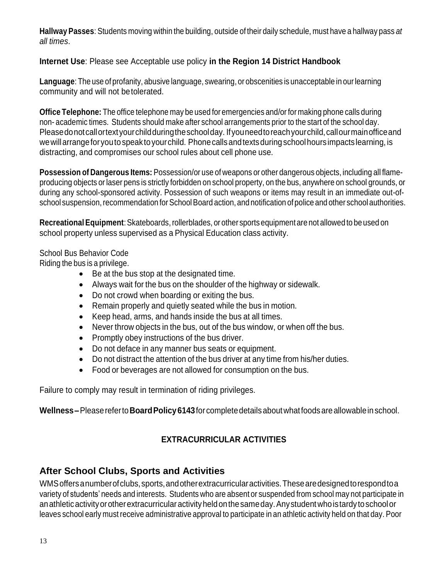**Hallway Passes**: Students moving within the building, outside of their daily schedule, must have a hallway pass *at all times*.

#### **Internet Use**: Please see Acceptable use policy **in the Region 14 District Handbook**

**Language**: The use of profanity, abusive language, swearing, or obscenities is unacceptable in ourlearning community and will not betolerated.

**Office Telephone:** The office telephone may be used for emergencies and/or for making phone calls during non- academic times. Students should make after school arrangements prior to the start of the school day. Pleasedonotcallortextyourchildduringtheschoolday. Ifyouneedtoreachyourchild,callourmainofficeand wewillarrangeforyoutospeaktoyourchild. Phonecallsandtextsduring schoolhours impactslearning, is distracting, and compromises our school rules about cell phone use.

**Possession of Dangerous Items:** Possession/or use of weapons or other dangerous objects, including all flameproducing objects orlaser pens is strictly forbidden on school property, on the bus, anywhere on school grounds, or during any school-sponsored activity. Possession of such weapons or items may result in an immediate out-ofschool suspension, recommendation for School Board action, and notification of police and other school authorities.

**RecreationalEquipment**:Skateboards,rollerblades, or other sports equipment are not allowed to be used on school property unless supervised as a Physical Education class activity.

#### School Bus Behavior Code

Riding the bus is a privilege.

- Be at the bus stop at the designated time.
- Always wait for the bus on the shoulder of the highway or sidewalk.
- Do not crowd when boarding or exiting the bus.
- Remain properly and quietly seated while the bus in motion.
- Keep head, arms, and hands inside the bus at all times.
- Never throw objects in the bus, out of the bus window, or when off the bus.
- Promptly obey instructions of the bus driver.
- Do not deface in any manner bus seats or equipment.
- Do not distract the attention of the bus driver at any time from his/her duties.
- Food or beverages are not allowed for consumption on the bus.

Failure to comply may result in termination of riding privileges.

<span id="page-12-0"></span>**Wellness–**Pleasereferto**BoardPolicy6143**forcompletedetailsaboutwhatfoodsareallowableinschool.

## **EXTRACURRICULAR ACTIVITIES**

## <span id="page-12-1"></span>**After School Clubs, Sports and Activities**

WMS offers anumber of clubs, sports, and other extracurricular activities. These are designed to respond to a variety of students' needs and interests. Students who are absent or suspended from school may not participate in anathleticactivityorotherextracurricularactivityheldonthesameday.Anystudentwhoistardy toschoolor leaves school early must receive administrative approval to participate in an athletic activity held on that day. Poor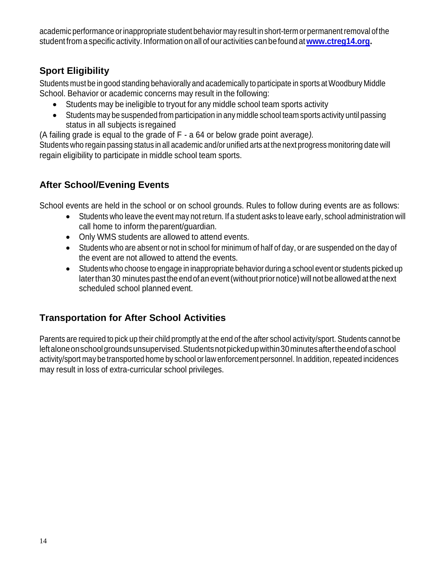academic performance orinappropriate student behavior may result in short-term orpermanentremoval ofthe student from a specific activity. Information on all of ouractivities can befound at**[www.ctreg14.org.](http://www.ctreg14.org/)**

# <span id="page-13-0"></span>**Sport Eligibility**

Students must be in good standing behaviorally and academically to participate in sports at Woodbury Middle School. Behavior or academic concerns may result in the following:

- Students may be ineligible to tryout for any middle school team sports activity
- Students may be suspended from participation in any middle school team sports activity until passing status in all subjects is regained

(A failing grade is equal to the grade of F - a 64 or below grade point average*).*

Students who regain passing status in all academic and/or unified arts at the next progress monitoring date will regain eligibility to participate in middle school team sports.

# <span id="page-13-1"></span>**After School/Evening Events**

School events are held in the school or on school grounds. Rules to follow during events are as follows:

- Students who leave the event may not return. If a student asks to leave early, school administration will call home to inform theparent/guardian.
- Only WMS students are allowed to attend events.
- Students who are absent or not in school for minimum of half of day, or are suspended on the day of the event are not allowed to attend the events.
- Students who choose to engage in inappropriate behavior during a school event or students picked up later than 30 minutes past the end of an event (without prior notice) will not be allowed at the next scheduled school planned event.

# <span id="page-13-2"></span>**Transportation for After School Activities**

<span id="page-13-3"></span>Parents are required to pick up their child promptly at the end of the after school activity/sport. Students cannot be leftaloneonschoolgroundsunsupervised.Studentsnotpickedupwithin30minutesaftertheendofaschool activity/sport may be transported home by school orlaw enforcement personnel. In addition, repeated incidences may result in loss of extra-curricular school privileges.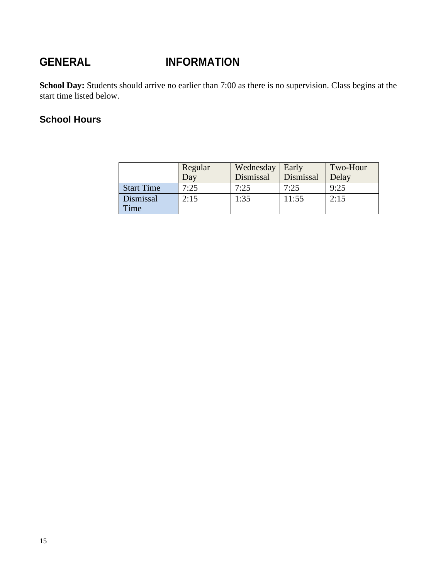# **GENERAL INFORMATION**

School Day: Students should arrive no earlier than 7:00 as there is no supervision. Class begins at the start time listed below.

# **School Hours**

|                   | Regular<br>Day | Wednesday<br>Dismissal | Early<br>Dismissal | Two-Hour<br>Delay |
|-------------------|----------------|------------------------|--------------------|-------------------|
| <b>Start Time</b> | 7:25           | 7:25                   | 7:25               | 9:25              |
| Dismissal<br>Time | 2:15           | 1:35                   | 11:55              | 2:15              |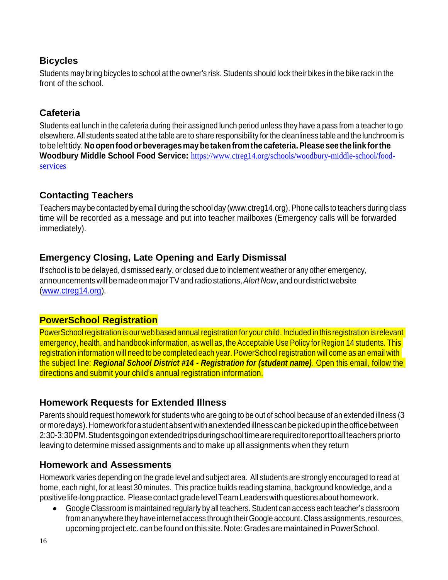# <span id="page-15-0"></span>**Bicycles**

Students may bring bicycles to school at the owner's risk. Students should lock their bikes in the bike rack in the front of the school.

## <span id="page-15-1"></span>**Cafeteria**

Students eat lunch in the cafeteria during their assigned lunch period unless they have a pass from a teacher to go elsewhere.All students seated at the table are to share responsibility for the cleanliness table and the lunchroom is to be left tidy.**Noopenfoodorbeveragesmaybe takenfromthecafeteria.Please seethelink forthe Woodbury Middle School Food Service:** [https://www.ctreg14.org/schools/woodbury-middle-school/food](https://www.ctreg14.org/schools/woodbury-middle-school/food-services)[services](https://www.ctreg14.org/schools/woodbury-middle-school/food-services)

## <span id="page-15-2"></span>**Contacting Teachers**

Teachers may be contacted by email during the school day (www.ctreg14.org). Phone calls to teachers during class time will be recorded as a message and put into teacher mailboxes (Emergency calls will be forwarded immediately).

# <span id="page-15-3"></span>**Emergency Closing, Late Opening and Early Dismissal**

If school is to be delayed, dismissed early, or closed due to inclement weather or any other emergency, announcements will be made on major TV and radio stations, Alert Now, and our district website [\(www.ctreg14.org\)](http://www.ctreg14.org/).

# <span id="page-15-4"></span>**PowerSchool Registration**

PowerSchool registration is our web based annual registration for your child. Included in this registration is relevant emergency, health, and handbook information, as well as, the Acceptable Use Policy for Region 14 students. This registration information will need to be completed each year. PowerSchool registration will come as an email with the subject line: *Regional School District #14 - Registration for (student name)*. Open this email, follow the directions and submit your child's annual registration information.

# <span id="page-15-5"></span>**Homework Requests for Extended Illness**

Parents should request homework for students who are going to be out of school because of an extended illness (3 ormoredays).Homeworkforastudentabsentwithanextendedillnesscanbepickedupintheofficebetween 2:30-3:30PM.Studentsgoingonextendedtripsduringschooltimearerequiredtoreporttoallteacherspriorto leaving to determine missed assignments and to make up all assignments when they return

## <span id="page-15-6"></span>**Homework and Assessments**

Homework varies depending on the grade level and subject area. All students are strongly encouraged to read at home, each night, for at least 30 minutes. This practice builds reading stamina, background knowledge, and a positive life-long practice. Please contact gradelevel Team Leaders with questions about homework.

 Google Classroom is maintained regularly by all teachers. Student can access each teacher's classroom from an anywhere they have internet access through their Google account. Class assignments, resources, upcoming project etc. can be found on this site. Note: Grades are maintained inPowerSchool.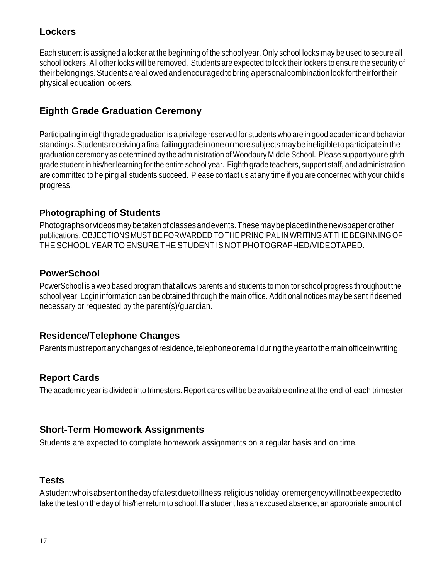# <span id="page-16-0"></span>**Lockers**

Each student is assigned a locker at the beginning of the school year. Only school locks may be used to secure all school lockers. All other locks will be removed. Students are expected to lock their lockers to ensure the security of theirbelongings.Studentsareallowedandencouragedtobringapersonal combinationlockfortheirfortheir physical education lockers.

# <span id="page-16-1"></span>**Eighth Grade Graduation Ceremony**

Participating in eighth grade graduation is a privilege reserved for students who are in good academic and behavior standings. Studentsreceivingafinalfailinggradeinoneormoresubjectsmaybeineligibletoparticipateinthe graduation ceremony as determined by the administration of Woodbury Middle School. Please support your eighth grade student in his/her learning for the entire school year. Eighth grade teachers, support staff, and administration are committed to helping all students succeed. Please contact us at any time if you are concerned with your child's progress.

## <span id="page-16-2"></span>**Photographing of Students**

Photographsorvideosmaybetakenof classesandevents.Thesemaybeplacedinthenewspaperorother publications.OBJECTIONS MUSTBEFORWARDED TOTHEPRINCIPAL IN WRITINGATTHEBEGINNINGOF THE SCHOOL YEAR TO ENSURE THE STUDENT IS NOT PHOTOGRAPHED/VIDEOTAPED.

## <span id="page-16-3"></span>**PowerSchool**

PowerSchool is a web based program that allows parents and students to monitor school progress throughout the school year. Login information can be obtained through the main office. Additional notices may be sent if deemed necessary or requested by the parent(s)/guardian.

## <span id="page-16-4"></span>**Residence/Telephone Changes**

Parents must report any changes of residence, telephone or email during the year to the main office in writing.

## <span id="page-16-5"></span>**Report Cards**

The academic year is divided into trimesters. Report cards will be be available online at the end of each trimester.

#### <span id="page-16-6"></span>**Short-Term Homework Assignments**

Students are expected to complete homework assignments on a regular basis and on time.

## <span id="page-16-7"></span>**Tests**

Astudentwhoisabsentonthedayofatestduetoillness,religiousholiday,oremergencywillnotbeexpectedto take the test on the day of his/her return to school. If a student has an excused absence, an appropriate amount of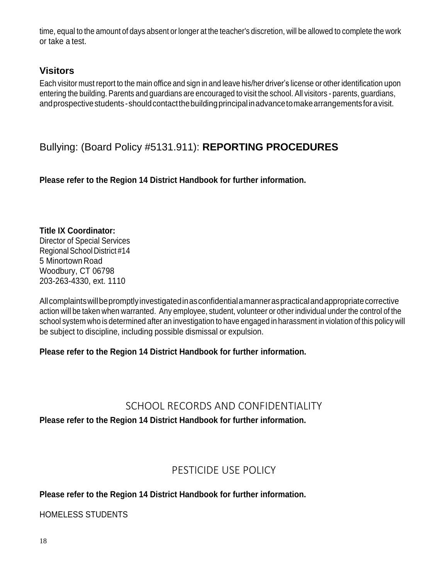time, equal to the amount of days absent or longer at the teacher's discretion, will be allowed to complete the work or take a test.

# <span id="page-17-0"></span>**Visitors**

Each visitor must report to the main office and sign in and leave his/her driver's license or other identification upon entering the building. Parents and guardians are encouraged to visit the school. All visitors - parents, guardians, and prospective students-should contact the building principal in advance to make arrangements for a visit.

# <span id="page-17-1"></span>Bullying: (Board Policy #5131.911): **REPORTING PROCEDURES**

**Please refer to the Region 14 District Handbook for further information.**

**Title IX Coordinator:** Director of Special Services RegionalSchool District #14 5 Minortown Road Woodbury, CT 06798 203-263-4330, ext. 1110

Allcomplaintswillbepromptlyinvestigatedinasconfidentialamanneraspracticalandappropriatecorrective action will be taken when warranted. Any employee, student, volunteer or other individual under the control of the school system who is determined after an investigation to have engaged in harassment in violation of this policy will be subject to discipline, including possible dismissal or expulsion.

## **Please refer to the Region 14 District Handbook for further information.**

# SCHOOL RECORDS AND CONFIDENTIALITY

<span id="page-17-2"></span>**Please refer to the Region 14 District Handbook for further information.**

# PESTICIDE USE POLICY

## <span id="page-17-3"></span>**Please refer to the Region 14 District Handbook for further information.**

HOMELESS STUDENTS